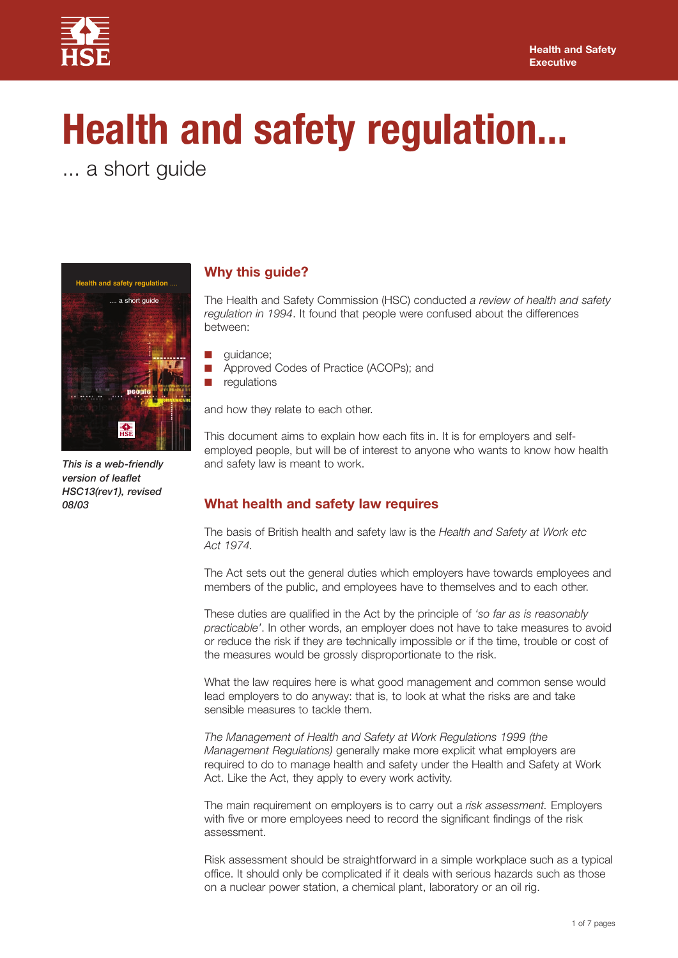

# **Health and safety regulation...**

... a short guide



*08/03 This is a web-friendly version of leaflet HSC13(rev1), revised*

# **Why this guide?**

The Health and Safety Commission (HSC) conducted *a review of health and safety regulation in 1994*. It found that people were confused about the differences between:

- **❋** guidance;
- Approved Codes of Practice (ACOPs); and
- **❋** regulations

and how they relate to each other.

This document aims to explain how each fits in. It is for employers and selfemployed people, but will be of interest to anyone who wants to know how health and safety law is meant to work.

# **What health and safety law requires**

The basis of British health and safety law is the *Health and Safety at Work etc Act 1974.*

The Act sets out the general duties which employers have towards employees and members of the public, and employees have to themselves and to each other.

These duties are qualified in the Act by the principle of *'so far as is reasonably practicable'*. In other words, an employer does not have to take measures to avoid or reduce the risk if they are technically impossible or if the time, trouble or cost of the measures would be grossly disproportionate to the risk.

What the law requires here is what good management and common sense would lead employers to do anyway: that is, to look at what the risks are and take sensible measures to tackle them.

*The Management of Health and Safety at Work Regulations 1999 (the Management Regulations)* generally make more explicit what employers are required to do to manage health and safety under the Health and Safety at Work Act. Like the Act, they apply to every work activity.

The main requirement on employers is to carry out a *risk assessment.* Employers with five or more employees need to record the significant findings of the risk assessment.

Risk assessment should be straightforward in a simple workplace such as a typical office. It should only be complicated if it deals with serious hazards such as those on a nuclear power station, a chemical plant, laboratory or an oil rig.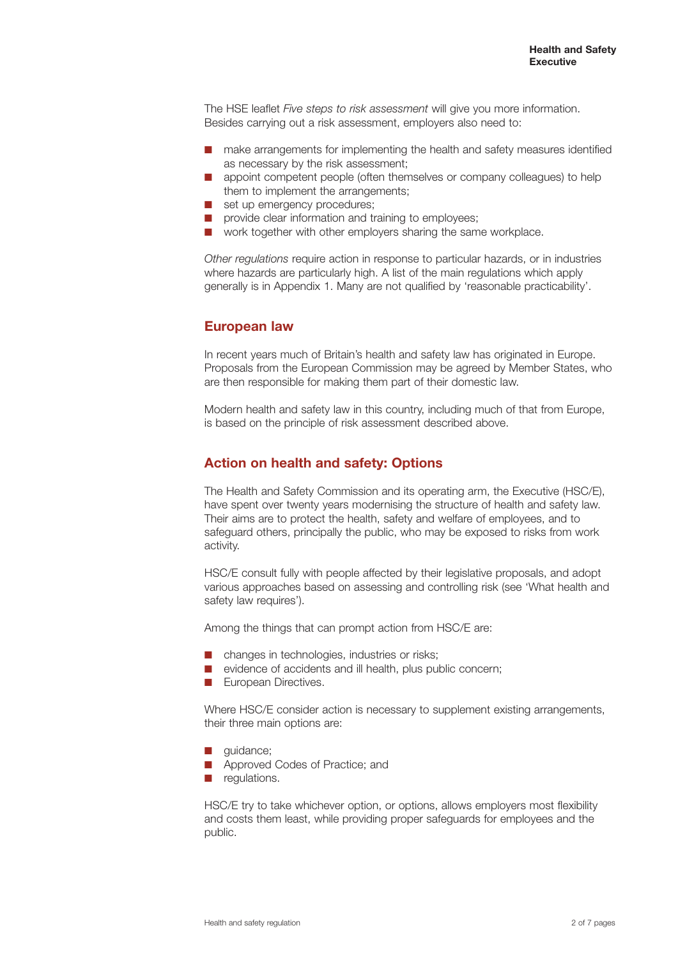The HSE leaflet *Five steps to risk assessment* will give you more information. Besides carrying out a risk assessment, employers also need to:

- make arrangements for implementing the health and safety measures identified as necessary by the risk assessment;
- appoint competent people (often themselves or company colleagues) to help them to implement the arrangements;
- **■** set up emergency procedures:
- provide clear information and training to employees;
- work together with other employers sharing the same workplace.

*Other regulations* require action in response to particular hazards, or in industries where hazards are particularly high. A list of the main regulations which apply generally is in Appendix 1. Many are not qualified by 'reasonable practicability'.

## **European law**

In recent years much of Britain's health and safety law has originated in Europe. Proposals from the European Commission may be agreed by Member States, who are then responsible for making them part of their domestic law.

Modern health and safety law in this country, including much of that from Europe, is based on the principle of risk assessment described above.

# **Action on health and safety: Options**

The Health and Safety Commission and its operating arm, the Executive (HSC/E), have spent over twenty years modernising the structure of health and safety law. Their aims are to protect the health, safety and welfare of employees, and to safeguard others, principally the public, who may be exposed to risks from work activity.

HSC/E consult fully with people affected by their legislative proposals, and adopt various approaches based on assessing and controlling risk (see 'What health and safety law requires').

Among the things that can prompt action from HSC/E are:

- changes in technologies, industries or risks;
- evidence of accidents and ill health, plus public concern;
- **European Directives.**

Where HSC/E consider action is necessary to supplement existing arrangements, their three main options are:

- **❋** guidance;
- **Approved Codes of Practice; and**
- $\blacksquare$  regulations.

HSC/E try to take whichever option, or options, allows employers most flexibility and costs them least, while providing proper safeguards for employees and the public.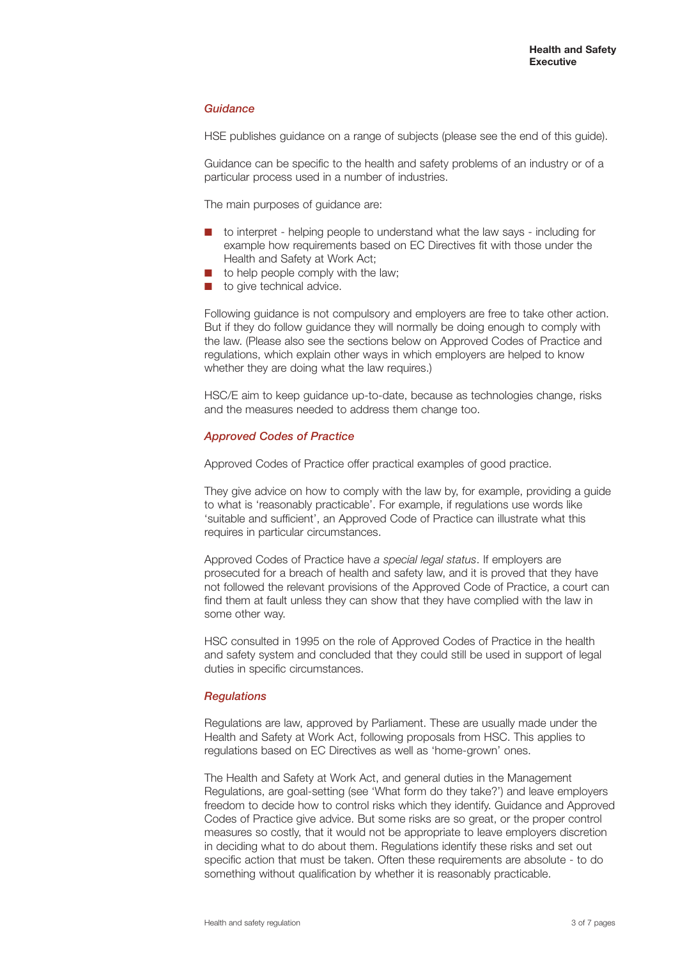## *Guidance*

HSE publishes guidance on a range of subjects (please see the end of this guide).

Guidance can be specific to the health and safety problems of an industry or of a particular process used in a number of industries.

The main purposes of quidance are:

- to interpret helping people to understand what the law says including for example how requirements based on EC Directives fit with those under the Health and Safety at Work Act;
- to help people comply with the law;
- to give technical advice.

Following guidance is not compulsory and employers are free to take other action. But if they do follow guidance they will normally be doing enough to comply with the law. (Please also see the sections below on Approved Codes of Practice and regulations, which explain other ways in which employers are helped to know whether they are doing what the law requires.)

HSC/E aim to keep quidance up-to-date, because as technologies change, risks and the measures needed to address them change too.

## *Approved Codes of Practice*

Approved Codes of Practice offer practical examples of good practice.

They give advice on how to comply with the law by, for example, providing a guide to what is 'reasonably practicable'. For example, if regulations use words like 'suitable and sufficient', an Approved Code of Practice can illustrate what this requires in particular circumstances.

Approved Codes of Practice have *a special legal status*. If employers are prosecuted for a breach of health and safety law, and it is proved that they have not followed the relevant provisions of the Approved Code of Practice, a court can find them at fault unless they can show that they have complied with the law in some other way.

HSC consulted in 1995 on the role of Approved Codes of Practice in the health and safety system and concluded that they could still be used in support of legal duties in specific circumstances.

#### *Regulations*

Regulations are law, approved by Parliament. These are usually made under the Health and Safety at Work Act, following proposals from HSC. This applies to regulations based on EC Directives as well as 'home-grown' ones.

The Health and Safety at Work Act, and general duties in the Management Regulations, are goal-setting (see 'What form do they take?') and leave employers freedom to decide how to control risks which they identify. Guidance and Approved Codes of Practice give advice. But some risks are so great, or the proper control measures so costly, that it would not be appropriate to leave employers discretion in deciding what to do about them. Regulations identify these risks and set out specific action that must be taken. Often these requirements are absolute - to do something without qualification by whether it is reasonably practicable.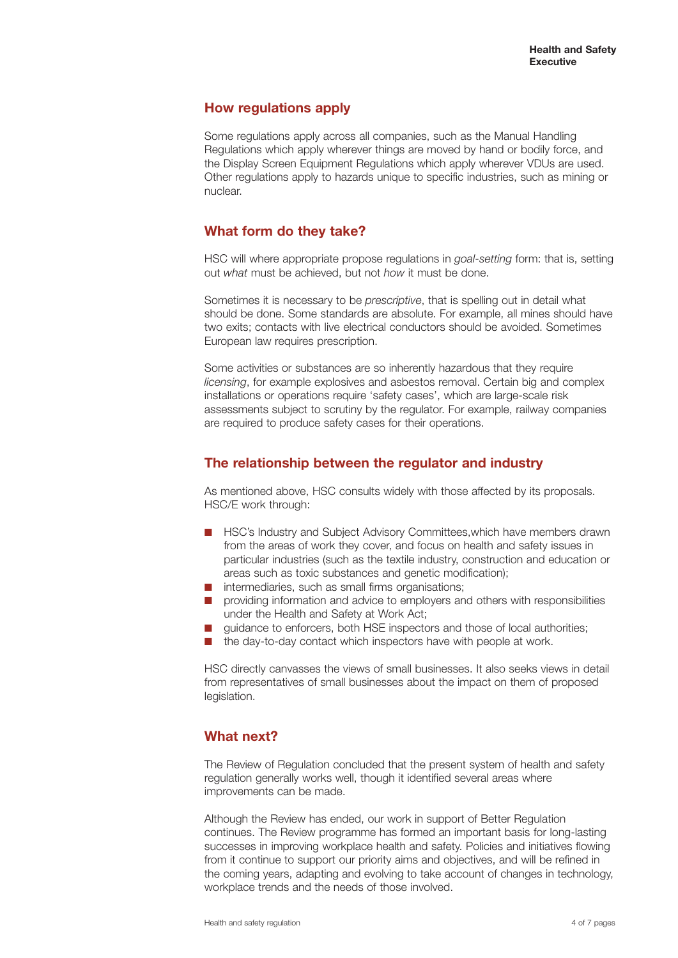# **How regulations apply**

Some regulations apply across all companies, such as the Manual Handling Regulations which apply wherever things are moved by hand or bodily force, and the Display Screen Equipment Regulations which apply wherever VDUs are used. Other regulations apply to hazards unique to specific industries, such as mining or nuclear.

# **What form do they take?**

HSC will where appropriate propose regulations in *goal-setting* form: that is, setting out *what* must be achieved, but not *how* it must be done.

Sometimes it is necessary to be *prescriptive*, that is spelling out in detail what should be done. Some standards are absolute. For example, all mines should have two exits; contacts with live electrical conductors should be avoided. Sometimes European law requires prescription.

Some activities or substances are so inherently hazardous that they require *licensing*, for example explosives and asbestos removal. Certain big and complex installations or operations require 'safety cases', which are large-scale risk assessments subject to scrutiny by the regulator. For example, railway companies are required to produce safety cases for their operations.

# **The relationship between the regulator and industry**

As mentioned above, HSC consults widely with those affected by its proposals. HSC/E work through:

- HSC's Industry and Subject Advisory Committees,which have members drawn from the areas of work they cover, and focus on health and safety issues in particular industries (such as the textile industry, construction and education or areas such as toxic substances and genetic modification);
- **■** intermediaries, such as small firms organisations;
- $\blacksquare$  providing information and advice to employers and others with responsibilities under the Health and Safety at Work Act;
- guidance to enforcers, both HSE inspectors and those of local authorities;
- the day-to-day contact which inspectors have with people at work.

HSC directly canvasses the views of small businesses. It also seeks views in detail from representatives of small businesses about the impact on them of proposed legislation.

# **What next?**

The Review of Regulation concluded that the present system of health and safety regulation generally works well, though it identified several areas where improvements can be made.

Although the Review has ended, our work in support of Better Regulation continues. The Review programme has formed an important basis for long-lasting successes in improving workplace health and safety. Policies and initiatives flowing from it continue to support our priority aims and objectives, and will be refined in the coming years, adapting and evolving to take account of changes in technology, workplace trends and the needs of those involved.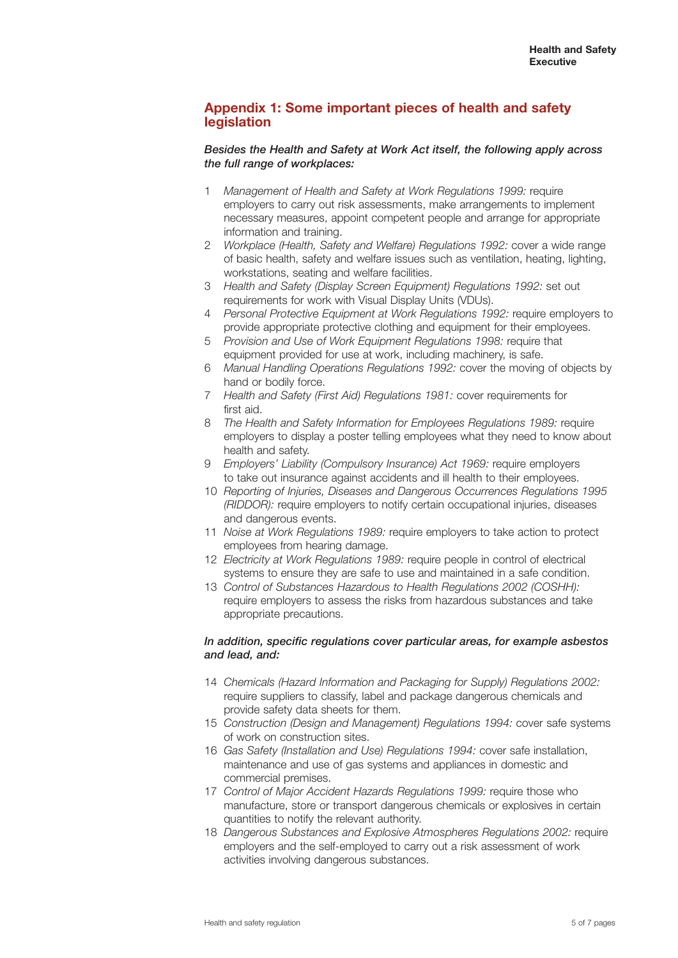## **Appendix 1: Some important pieces of health and safety legislation**

## *Besides the Health and Safety at Work Act itself, the following apply across the full range of workplaces:*

- 1 *Management of Health and Safety at Work Regulations 1999:* require employers to carry out risk assessments, make arrangements to implement necessary measures, appoint competent people and arrange for appropriate information and training.
- 2 *Workplace (Health, Safety and Welfare) Regulations 1992:* cover a wide range of basic health, safety and welfare issues such as ventilation, heating, lighting, workstations, seating and welfare facilities.
- 3 *Health and Safety (Display Screen Equipment) Regulations 1992:* set out requirements for work with Visual Display Units (VDUs).
- 4 *Personal Protective Equipment at Work Regulations 1992:* require employers to provide appropriate protective clothing and equipment for their employees.
- 5 *Provision and Use of Work Equipment Regulations 1998:* require that equipment provided for use at work, including machinery, is safe.
- 6 *Manual Handling Operations Regulations 1992:* cover the moving of objects by hand or bodily force.
- 7 *Health and Safety (First Aid) Regulations 1981:* cover requirements for first aid.
- 8 *The Health and Safety Information for Employees Regulations 1989:* require employers to display a poster telling employees what they need to know about health and safety.
- 9 *Employers' Liability (Compulsory Insurance) Act 1969:* require employers to take out insurance against accidents and ill health to their employees.
- 10 *Reporting of Injuries, Diseases and Dangerous Occurrences Regulations 1995 (RIDDOR):* require employers to notify certain occupational injuries, diseases and dangerous events.
- 11 *Noise at Work Regulations 1989:* require employers to take action to protect employees from hearing damage.
- 12 *Electricity at Work Regulations 1989:* require people in control of electrical systems to ensure they are safe to use and maintained in a safe condition.
- 13 *Control of Substances Hazardous to Health Regulations 2002 (COSHH):* require employers to assess the risks from hazardous substances and take appropriate precautions.

## *In addition, specific regulations cover particular areas, for example asbestos and lead, and:*

- 14 *Chemicals (Hazard Information and Packaging for Supply) Regulations 2002:* require suppliers to classify, label and package dangerous chemicals and provide safety data sheets for them.
- 15 *Construction (Design and Management) Regulations 1994:* cover safe systems of work on construction sites.
- 16 *Gas Safety (Installation and Use) Regulations 1994:* cover safe installation, maintenance and use of gas systems and appliances in domestic and commercial premises.
- 17 *Control of Major Accident Hazards Regulations 1999:* require those who manufacture, store or transport dangerous chemicals or explosives in certain quantities to notify the relevant authority.
- 18 *Dangerous Substances and Explosive Atmospheres Regulations 2002:* require employers and the self-employed to carry out a risk assessment of work activities involving dangerous substances.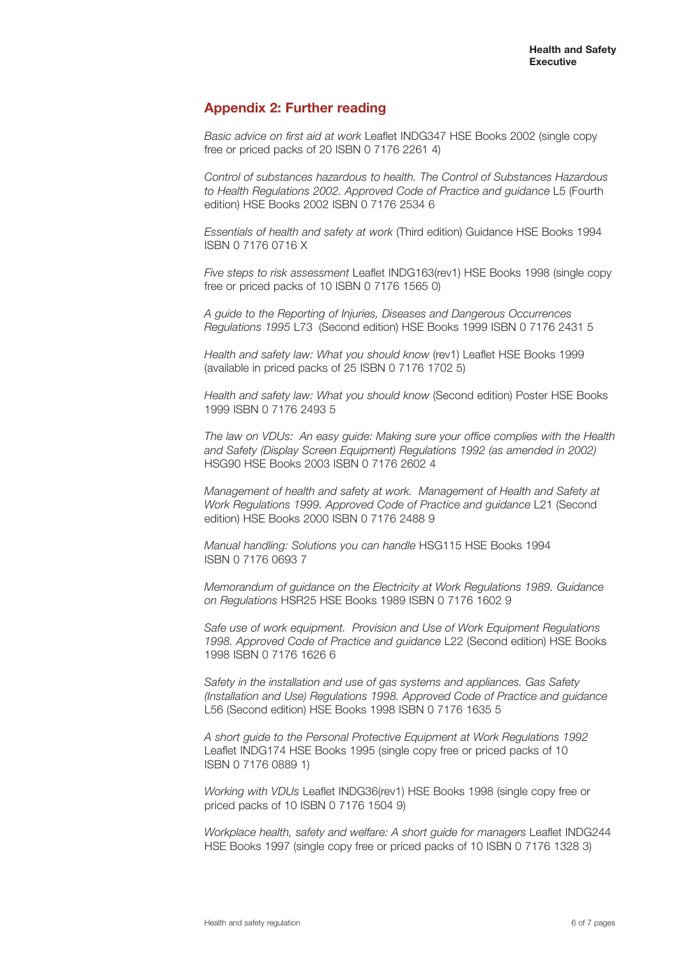# **Appendix 2: Further reading**

*Basic advice on first aid at work* Leaflet INDG347 HSE Books 2002 (single copy free or priced packs of 20 ISBN 0 7176 2261 4)

*Control of substances hazardous to health. The Control of Substances Hazardous to Health Regulations 2002. Approved Code of Practice and guidance* L5 (Fourth edition) HSE Books 2002 ISBN 0 7176 2534 6

*Essentials of health and safety at work* (Third edition) Guidance HSE Books 1994 ISBN 0 7176 0716 X

*Five steps to risk assessment* Leaflet INDG163(rev1) HSE Books 1998 (single copy free or priced packs of 10 ISBN 0 7176 1565 0)

*A guide to the Reporting of Injuries, Diseases and Dangerous Occurrences Regulations 1995* L73 (Second edition) HSE Books 1999 ISBN 0 7176 2431 5

*Health and safety law: What you should know* (rev1) Leaflet HSE Books 1999 (available in priced packs of 25 ISBN 0 7176 1702 5)

*Health and safety law: What you should know* (Second edition) Poster HSE Books 1999 ISBN 0 7176 2493 5

*The law on VDUs: An easy guide: Making sure your office complies with the Health and Safety (Display Screen Equipment) Regulations 1992 (as amended in 2002)* HSG90 HSE Books 2003 ISBN 0 7176 2602 4

*Management of health and safety at work. Management of Health and Safety at Work Regulations 1999. Approved Code of Practice and guidance* L21 (Second edition) HSE Books 2000 ISBN 0 7176 2488 9

*Manual handling: Solutions you can handle* HSG115 HSE Books 1994 ISBN 0 7176 0693 7

*Memorandum of guidance on the Electricity at Work Regulations 1989. Guidance on Regulations* HSR25 HSE Books 1989 ISBN 0 7176 1602 9

*Safe use of work equipment. Provision and Use of Work Equipment Regulations 1998. Approved Code of Practice and guidance* L22 (Second edition) HSE Books 1998 ISBN 0 7176 1626 6

*Safety in the installation and use of gas systems and appliances. Gas Safety (Installation and Use) Regulations 1998. Approved Code of Practice and guidance* L56 (Second edition) HSE Books 1998 ISBN 0 7176 1635 5

*A short guide to the Personal Protective Equipment at Work Regulations 1992* Leaflet INDG174 HSE Books 1995 (single copy free or priced packs of 10 ISBN 0 7176 0889 1)

*Working with VDUs* Leaflet INDG36(rev1) HSE Books 1998 (single copy free or priced packs of 10 ISBN 0 7176 1504 9)

*Workplace health, safety and welfare: A short guide for managers* Leaflet INDG244 HSE Books 1997 (single copy free or priced packs of 10 ISBN 0 7176 1328 3)